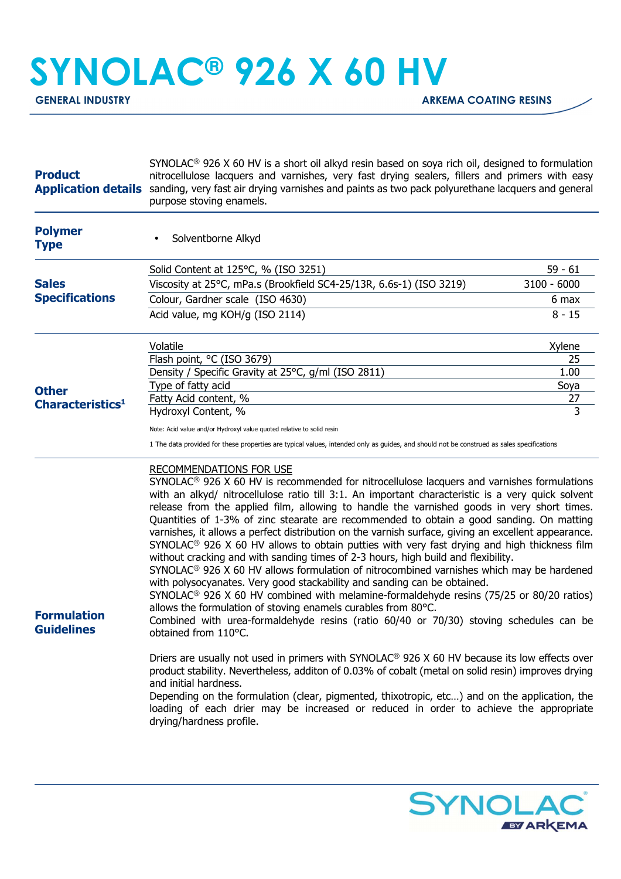## **SYNOLAC® 926 X 60 HV**

**GENERAL INDUSTRY GENERAL INDUSTRY** 

| <b>Product</b><br><b>Application details</b> | SYNOLAC <sup>®</sup> 926 X 60 HV is a short oil alkyd resin based on soya rich oil, designed to formulation<br>nitrocellulose lacquers and varnishes, very fast drying sealers, fillers and primers with easy<br>sanding, very fast air drying varnishes and paints as two pack polyurethane lacquers and general<br>purpose stoving enamels.                                                                                                                                                                                                                                                                                                                                                                                                                                                                                                                                                                                                                                                                                                                                                                                                                                                            |               |
|----------------------------------------------|----------------------------------------------------------------------------------------------------------------------------------------------------------------------------------------------------------------------------------------------------------------------------------------------------------------------------------------------------------------------------------------------------------------------------------------------------------------------------------------------------------------------------------------------------------------------------------------------------------------------------------------------------------------------------------------------------------------------------------------------------------------------------------------------------------------------------------------------------------------------------------------------------------------------------------------------------------------------------------------------------------------------------------------------------------------------------------------------------------------------------------------------------------------------------------------------------------|---------------|
| <b>Polymer</b><br><b>Type</b>                | Solventborne Alkyd                                                                                                                                                                                                                                                                                                                                                                                                                                                                                                                                                                                                                                                                                                                                                                                                                                                                                                                                                                                                                                                                                                                                                                                       |               |
|                                              | Solid Content at 125°C, % (ISO 3251)                                                                                                                                                                                                                                                                                                                                                                                                                                                                                                                                                                                                                                                                                                                                                                                                                                                                                                                                                                                                                                                                                                                                                                     | $59 - 61$     |
| <b>Sales</b><br><b>Specifications</b>        | Viscosity at 25°C, mPa.s (Brookfield SC4-25/13R, 6.6s-1) (ISO 3219)                                                                                                                                                                                                                                                                                                                                                                                                                                                                                                                                                                                                                                                                                                                                                                                                                                                                                                                                                                                                                                                                                                                                      | $3100 - 6000$ |
|                                              | Colour, Gardner scale (ISO 4630)                                                                                                                                                                                                                                                                                                                                                                                                                                                                                                                                                                                                                                                                                                                                                                                                                                                                                                                                                                                                                                                                                                                                                                         | 6 max         |
|                                              | Acid value, mg KOH/g (ISO 2114)                                                                                                                                                                                                                                                                                                                                                                                                                                                                                                                                                                                                                                                                                                                                                                                                                                                                                                                                                                                                                                                                                                                                                                          | $8 - 15$      |
| <b>Other</b>                                 | Volatile                                                                                                                                                                                                                                                                                                                                                                                                                                                                                                                                                                                                                                                                                                                                                                                                                                                                                                                                                                                                                                                                                                                                                                                                 | Xylene        |
|                                              | Flash point, °C (ISO 3679)                                                                                                                                                                                                                                                                                                                                                                                                                                                                                                                                                                                                                                                                                                                                                                                                                                                                                                                                                                                                                                                                                                                                                                               | 25            |
|                                              | Density / Specific Gravity at 25°C, g/ml (ISO 2811)<br>Type of fatty acid                                                                                                                                                                                                                                                                                                                                                                                                                                                                                                                                                                                                                                                                                                                                                                                                                                                                                                                                                                                                                                                                                                                                | 1.00          |
|                                              | Fatty Acid content, %                                                                                                                                                                                                                                                                                                                                                                                                                                                                                                                                                                                                                                                                                                                                                                                                                                                                                                                                                                                                                                                                                                                                                                                    | Soya<br>27    |
| Characteristics <sup>1</sup>                 | Hydroxyl Content, %                                                                                                                                                                                                                                                                                                                                                                                                                                                                                                                                                                                                                                                                                                                                                                                                                                                                                                                                                                                                                                                                                                                                                                                      | 3             |
|                                              | Note: Acid value and/or Hydroxyl value quoted relative to solid resin                                                                                                                                                                                                                                                                                                                                                                                                                                                                                                                                                                                                                                                                                                                                                                                                                                                                                                                                                                                                                                                                                                                                    |               |
|                                              | 1 The data provided for these properties are typical values, intended only as guides, and should not be construed as sales specifications                                                                                                                                                                                                                                                                                                                                                                                                                                                                                                                                                                                                                                                                                                                                                                                                                                                                                                                                                                                                                                                                |               |
| <b>Formulation</b><br><b>Guidelines</b>      | <b>RECOMMENDATIONS FOR USE</b><br>$SYNOLAC®$ 926 X 60 HV is recommended for nitrocellulose lacquers and varnishes formulations<br>with an alkyd/ nitrocellulose ratio till 3:1. An important characteristic is a very quick solvent<br>release from the applied film, allowing to handle the varnished goods in very short times.<br>Quantities of 1-3% of zinc stearate are recommended to obtain a good sanding. On matting<br>varnishes, it allows a perfect distribution on the varnish surface, giving an excellent appearance.<br>SYNOLAC <sup>®</sup> 926 X 60 HV allows to obtain putties with very fast drying and high thickness film<br>without cracking and with sanding times of 2-3 hours, high build and flexibility.<br>$SYNOLAC®$ 926 X 60 HV allows formulation of nitrocombined varnishes which may be hardened<br>with polysocyanates. Very good stackability and sanding can be obtained.<br>SYNOLAC <sup>®</sup> 926 X 60 HV combined with melamine-formaldehyde resins (75/25 or 80/20 ratios)<br>allows the formulation of stoving enamels curables from 80°C.<br>Combined with urea-formaldehyde resins (ratio 60/40 or 70/30) stoving schedules can be<br>obtained from 110°C. |               |
|                                              | Driers are usually not used in primers with SYNOLAC® 926 X 60 HV because its low effects over<br>product stability. Nevertheless, additon of 0.03% of cobalt (metal on solid resin) improves drying<br>and initial hardness.<br>Depending on the formulation (clear, pigmented, thixotropic, etc) and on the application, the<br>loading of each drier may be increased or reduced in order to achieve the appropriate<br>drying/hardness profile.                                                                                                                                                                                                                                                                                                                                                                                                                                                                                                                                                                                                                                                                                                                                                       |               |